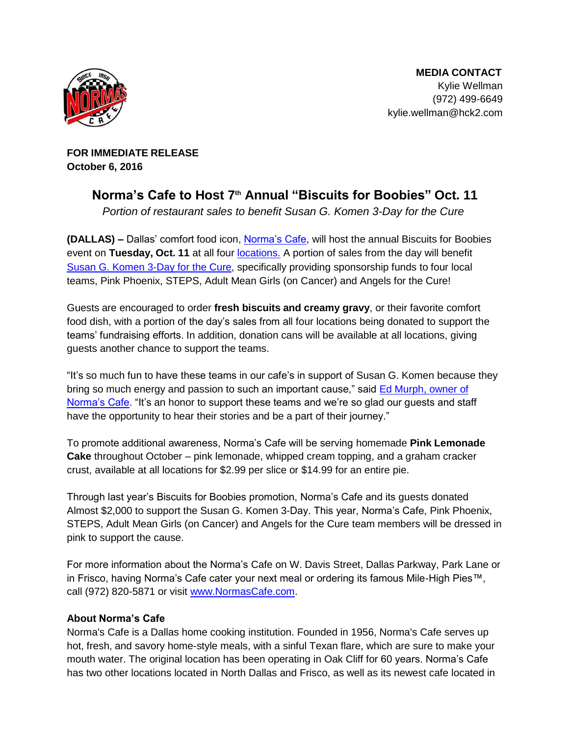

**MEDIA CONTACT** Kylie Wellman (972) 499-664[9](mailto:kylie.wellman@hck2.com) [kylie.wellman@hck2.com](mailto:kylie.wellman@hck2.com) 

**FOR IMMEDIATE RELEASE October 6, 2016**

## **Norma's Cafe to Host 7th Annual "Biscuits for Boobies" Oct. 11**

Portion of restaurant sales to benefit Susan G. Komen 3-Day for the Cure

**(DALLAS) –** Dallas' comfort food icon, [Norma's Cafe](http://normascafe.com/), will host the annual Biscuits for Boobies event on Tuesday, Oct. 11 at all four **locations**. A portion of sales from the day will benefit [Susan G. Komen 3-Day for the Cure,](http://www.the3day.org/site/PageServer) specifically providing sponsorship funds to four local teams, Pink Phoenix, STEPS, Adult Mean Girls (on Cancer) and Angels for the Cure!

Guests are encouraged to order **fresh biscuits and creamy gravy**, or their favorite comfort food dish, with a portion of the day's sales from all four locations being donated to support the teams' fundraising efforts. In addition, donation cans will be available at all locations, giving guests another chance to support the teams.

"It's so much fun to have these teams in our cafe's in support of Susan G. Komen because they bring so much energy and passion to such an important cause," said [Ed Murph, owner of](http://www.normascafe.com/about/)  [Norma's Cafe](http://www.normascafe.com/about/). "It's an honor to support these teams and we're so glad our guests and staff have the opportunity to hear their stories and be a part of their journey."

To promote additional awareness, Norma's Cafe will be serving homemade **Pink Lemonade Cake** throughout October – pink lemonade, whipped cream topping, and a graham cracker crust, available at all locations for \$2.99 per slice or \$14.99 for an entire pie.

Through last year's Biscuits for Boobies promotion, Norma's Cafe and its guests donated Almost \$2,000 to support the Susan G. Komen 3-Day. This year, Norma's Cafe, Pink Phoenix, STEPS, Adult Mean Girls (on Cancer) and Angels for the Cure team members will be dressed in pink to support the cause.

For more information about the Norma's Cafe on W. Davis Street, Dallas Parkway, Park Lane or in Frisco, having Norma's Cafe cater your next meal or ordering its famous Mile-High Pies™, call (972) 820-5871 or visit [www.NormasCafe.com.](http://www.normascafe.com/)

## **About Norma's Cafe**

Norma's Cafe is a Dallas home cooking institution. Founded in 1956, Norma's Cafe serves up hot, fresh, and savory home-style meals, with a sinful Texan flare, which are sure to make your mouth water. The original location has been operating in Oak Cliff for 60 years. Norma's Cafe has two other locations located in North Dallas and Frisco, as well as its newest cafe located in